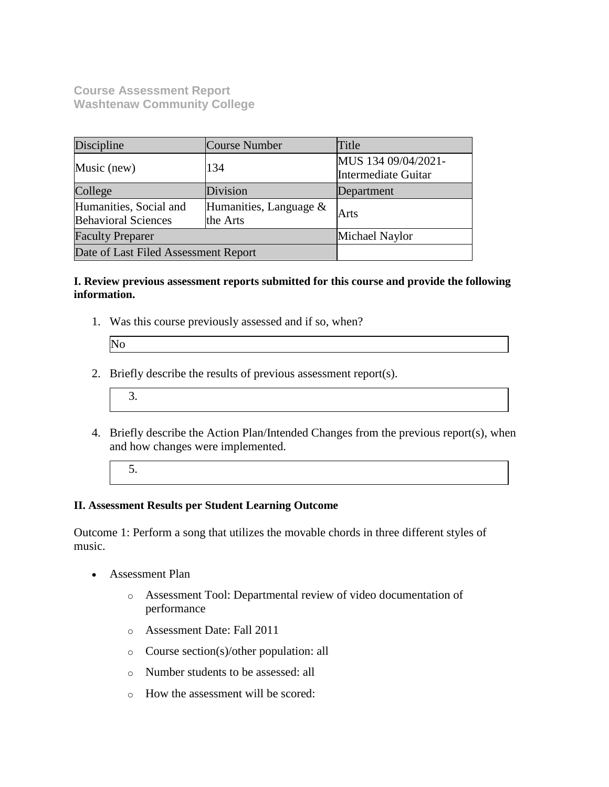**Course Assessment Report Washtenaw Community College**

| Discipline                                                                                    | Course Number | Title                                             |
|-----------------------------------------------------------------------------------------------|---------------|---------------------------------------------------|
| Music (new)                                                                                   | 134           | MUS 134 09/04/2021-<br><b>Intermediate Guitar</b> |
| College                                                                                       | Division      | Department                                        |
| Humanities, Social and<br>Humanities, Language $\&$<br><b>Behavioral Sciences</b><br>the Arts |               | Arts                                              |
| <b>Faculty Preparer</b>                                                                       |               | Michael Naylor                                    |
| Date of Last Filed Assessment Report                                                          |               |                                                   |

#### **I. Review previous assessment reports submitted for this course and provide the following information.**

1. Was this course previously assessed and if so, when?

No

- 2. Briefly describe the results of previous assessment report(s).
	- 3.
- 4. Briefly describe the Action Plan/Intended Changes from the previous report(s), when and how changes were implemented.
	- 5.

## **II. Assessment Results per Student Learning Outcome**

Outcome 1: Perform a song that utilizes the movable chords in three different styles of music.

- Assessment Plan
	- o Assessment Tool: Departmental review of video documentation of performance
	- o Assessment Date: Fall 2011
	- o Course section(s)/other population: all
	- o Number students to be assessed: all
	- o How the assessment will be scored: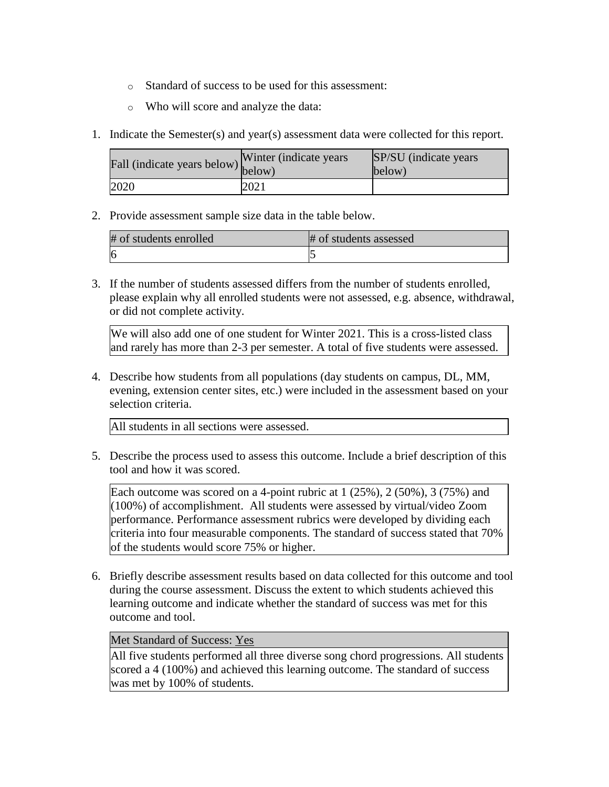- o Standard of success to be used for this assessment:
- o Who will score and analyze the data:
- 1. Indicate the Semester(s) and year(s) assessment data were collected for this report.

| Fall (indicate years below) below) | Winter (indicate years) | SP/SU (indicate years)<br>below) |
|------------------------------------|-------------------------|----------------------------------|
| 2020                               | 2021                    |                                  |

2. Provide assessment sample size data in the table below.

| # of students enrolled | # of students assessed |
|------------------------|------------------------|
| -lf                    |                        |

3. If the number of students assessed differs from the number of students enrolled, please explain why all enrolled students were not assessed, e.g. absence, withdrawal, or did not complete activity.

We will also add one of one student for Winter 2021. This is a cross-listed class and rarely has more than 2-3 per semester. A total of five students were assessed.

4. Describe how students from all populations (day students on campus, DL, MM, evening, extension center sites, etc.) were included in the assessment based on your selection criteria.

All students in all sections were assessed.

5. Describe the process used to assess this outcome. Include a brief description of this tool and how it was scored.

Each outcome was scored on a 4-point rubric at  $1$  (25%),  $2$  (50%),  $3$  (75%) and (100%) of accomplishment. All students were assessed by virtual/video Zoom performance. Performance assessment rubrics were developed by dividing each criteria into four measurable components. The standard of success stated that 70% of the students would score 75% or higher.

6. Briefly describe assessment results based on data collected for this outcome and tool during the course assessment. Discuss the extent to which students achieved this learning outcome and indicate whether the standard of success was met for this outcome and tool.

#### Met Standard of Success: Yes

All five students performed all three diverse song chord progressions. All students scored a 4 (100%) and achieved this learning outcome. The standard of success was met by 100% of students.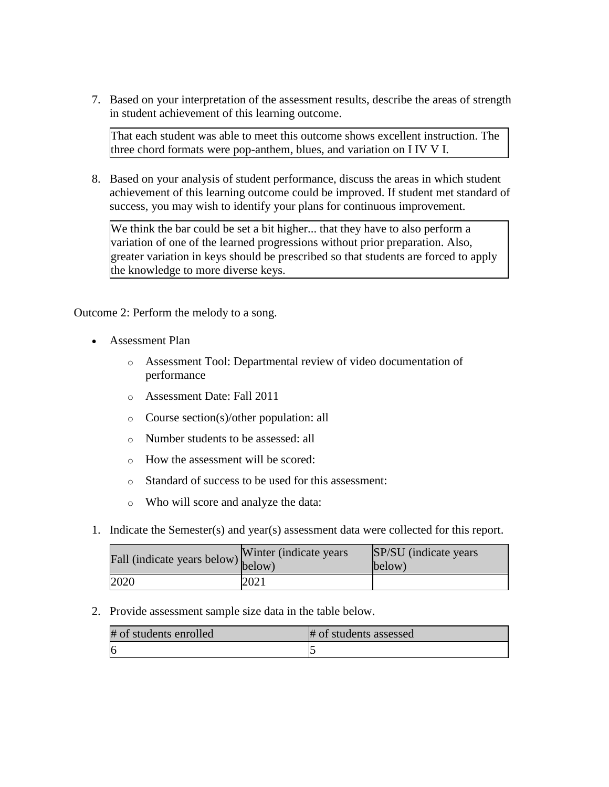7. Based on your interpretation of the assessment results, describe the areas of strength in student achievement of this learning outcome.

That each student was able to meet this outcome shows excellent instruction. The three chord formats were pop-anthem, blues, and variation on I IV V I.

8. Based on your analysis of student performance, discuss the areas in which student achievement of this learning outcome could be improved. If student met standard of success, you may wish to identify your plans for continuous improvement.

We think the bar could be set a bit higher... that they have to also perform a variation of one of the learned progressions without prior preparation. Also, greater variation in keys should be prescribed so that students are forced to apply the knowledge to more diverse keys.

Outcome 2: Perform the melody to a song.

- Assessment Plan
	- o Assessment Tool: Departmental review of video documentation of performance
	- o Assessment Date: Fall 2011
	- o Course section(s)/other population: all
	- o Number students to be assessed: all
	- o How the assessment will be scored:
	- o Standard of success to be used for this assessment:
	- o Who will score and analyze the data:
- 1. Indicate the Semester(s) and year(s) assessment data were collected for this report.

| Fall (indicate years below) below) | Winter (indicate years) | SP/SU (indicate years)<br>below) |
|------------------------------------|-------------------------|----------------------------------|
| 2020                               | 2021                    |                                  |

2. Provide assessment sample size data in the table below.

| # of students enrolled | # of students assessed |
|------------------------|------------------------|
| 16                     |                        |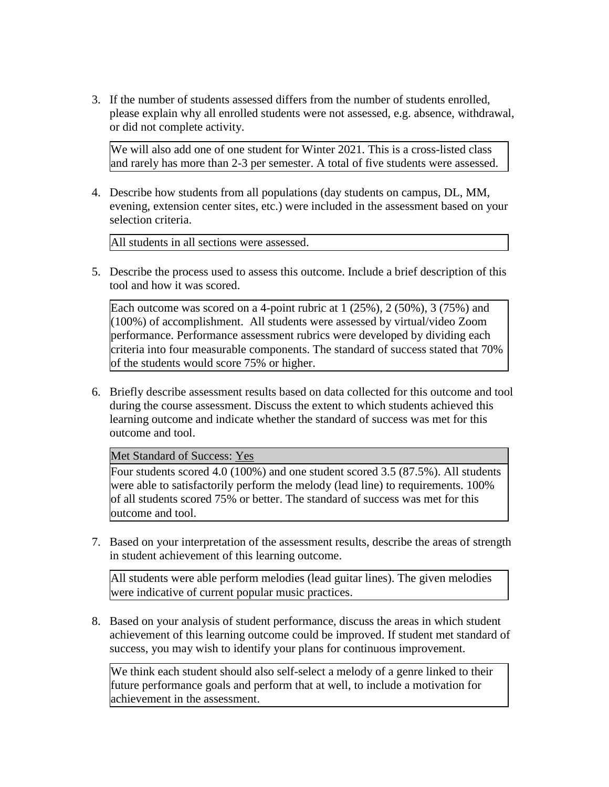3. If the number of students assessed differs from the number of students enrolled, please explain why all enrolled students were not assessed, e.g. absence, withdrawal, or did not complete activity.

We will also add one of one student for Winter 2021. This is a cross-listed class and rarely has more than 2-3 per semester. A total of five students were assessed.

4. Describe how students from all populations (day students on campus, DL, MM, evening, extension center sites, etc.) were included in the assessment based on your selection criteria.

All students in all sections were assessed.

5. Describe the process used to assess this outcome. Include a brief description of this tool and how it was scored.

Each outcome was scored on a 4-point rubric at  $1$  (25%),  $2$  (50%),  $3$  (75%) and  $(100%)$  of accomplishment. All students were assessed by virtual/video Zoom performance. Performance assessment rubrics were developed by dividing each criteria into four measurable components. The standard of success stated that 70% of the students would score 75% or higher.

6. Briefly describe assessment results based on data collected for this outcome and tool during the course assessment. Discuss the extent to which students achieved this learning outcome and indicate whether the standard of success was met for this outcome and tool.

Met Standard of Success: Yes

Four students scored 4.0 (100%) and one student scored 3.5 (87.5%). All students were able to satisfactorily perform the melody (lead line) to requirements. 100% of all students scored 75% or better. The standard of success was met for this outcome and tool.

7. Based on your interpretation of the assessment results, describe the areas of strength in student achievement of this learning outcome.

All students were able perform melodies (lead guitar lines). The given melodies were indicative of current popular music practices.

8. Based on your analysis of student performance, discuss the areas in which student achievement of this learning outcome could be improved. If student met standard of success, you may wish to identify your plans for continuous improvement.

We think each student should also self-select a melody of a genre linked to their future performance goals and perform that at well, to include a motivation for achievement in the assessment.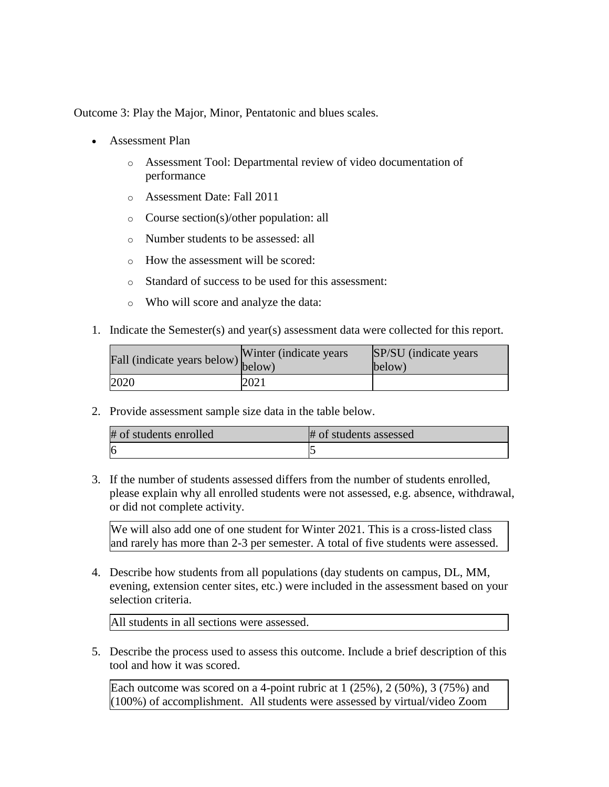Outcome 3: Play the Major, Minor, Pentatonic and blues scales.

- Assessment Plan
	- o Assessment Tool: Departmental review of video documentation of performance
	- o Assessment Date: Fall 2011
	- o Course section(s)/other population: all
	- o Number students to be assessed: all
	- o How the assessment will be scored:
	- o Standard of success to be used for this assessment:
	- o Who will score and analyze the data:
- 1. Indicate the Semester(s) and year(s) assessment data were collected for this report.

| Fall (indicate years below) below) | Winter (indicate years) | SP/SU (indicate years)<br>below) |
|------------------------------------|-------------------------|----------------------------------|
| 2020                               | 2021                    |                                  |

2. Provide assessment sample size data in the table below.

| # of students enrolled | # of students assessed |
|------------------------|------------------------|
| <sup>6</sup>           |                        |

3. If the number of students assessed differs from the number of students enrolled, please explain why all enrolled students were not assessed, e.g. absence, withdrawal, or did not complete activity.

We will also add one of one student for Winter 2021. This is a cross-listed class and rarely has more than 2-3 per semester. A total of five students were assessed.

4. Describe how students from all populations (day students on campus, DL, MM, evening, extension center sites, etc.) were included in the assessment based on your selection criteria.

All students in all sections were assessed.

5. Describe the process used to assess this outcome. Include a brief description of this tool and how it was scored.

Each outcome was scored on a 4-point rubric at  $1$  (25%),  $2$  (50%),  $3$  (75%) and (100%) of accomplishment. All students were assessed by virtual/video Zoom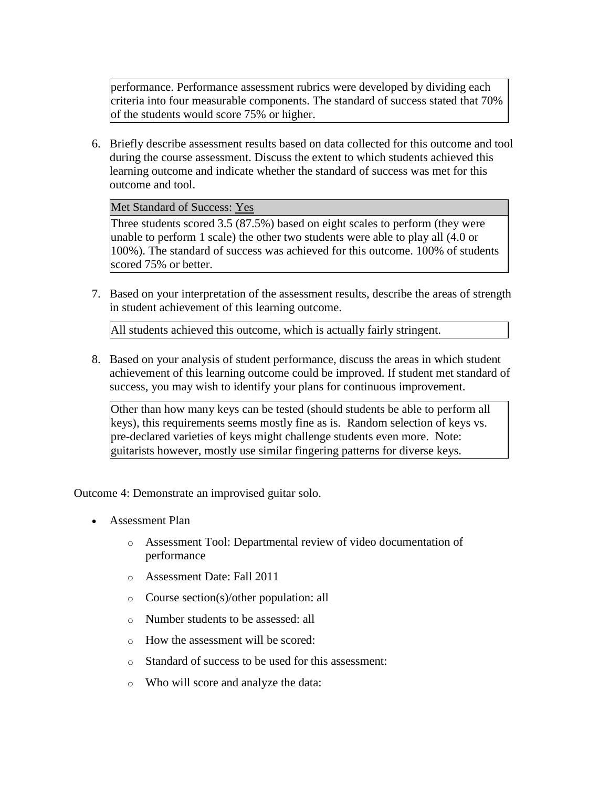performance. Performance assessment rubrics were developed by dividing each criteria into four measurable components. The standard of success stated that 70% of the students would score 75% or higher.

6. Briefly describe assessment results based on data collected for this outcome and tool during the course assessment. Discuss the extent to which students achieved this learning outcome and indicate whether the standard of success was met for this outcome and tool.

Met Standard of Success: Yes

Three students scored 3.5 (87.5%) based on eight scales to perform (they were unable to perform 1 scale) the other two students were able to play all (4.0 or 100%). The standard of success was achieved for this outcome. 100% of students scored 75% or better.

7. Based on your interpretation of the assessment results, describe the areas of strength in student achievement of this learning outcome.

All students achieved this outcome, which is actually fairly stringent.

8. Based on your analysis of student performance, discuss the areas in which student achievement of this learning outcome could be improved. If student met standard of success, you may wish to identify your plans for continuous improvement.

Other than how many keys can be tested (should students be able to perform all keys), this requirements seems mostly fine as is. Random selection of keys vs. pre-declared varieties of keys might challenge students even more. Note: guitarists however, mostly use similar fingering patterns for diverse keys.

Outcome 4: Demonstrate an improvised guitar solo.

- Assessment Plan
	- o Assessment Tool: Departmental review of video documentation of performance
	- o Assessment Date: Fall 2011
	- o Course section(s)/other population: all
	- o Number students to be assessed: all
	- o How the assessment will be scored:
	- o Standard of success to be used for this assessment:
	- o Who will score and analyze the data: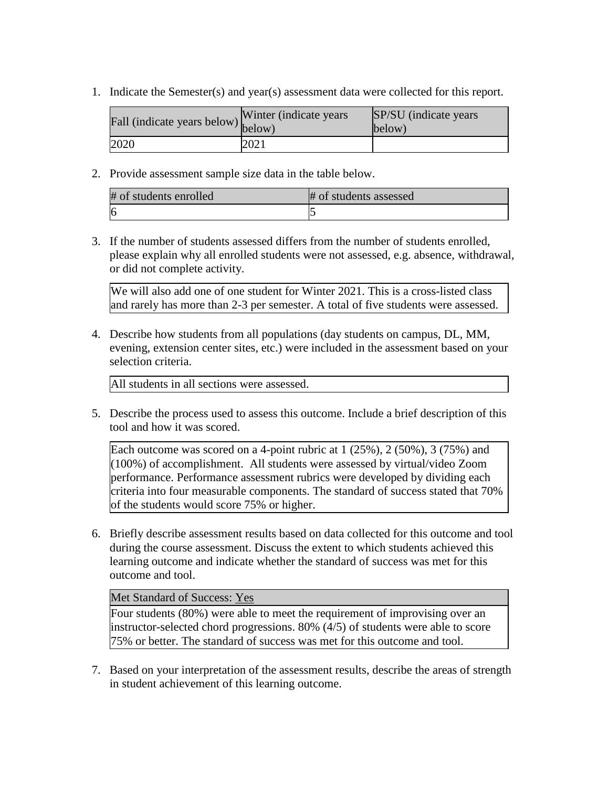1. Indicate the Semester(s) and year(s) assessment data were collected for this report.

| Fall (indicate years below) below) | Winter (indicate years) | SP/SU (indicate years)<br>below) |
|------------------------------------|-------------------------|----------------------------------|
| 2020                               | 2021                    |                                  |

2. Provide assessment sample size data in the table below.

| # of students enrolled | # of students assessed |
|------------------------|------------------------|
| 16                     |                        |

3. If the number of students assessed differs from the number of students enrolled, please explain why all enrolled students were not assessed, e.g. absence, withdrawal, or did not complete activity.

We will also add one of one student for Winter 2021. This is a cross-listed class and rarely has more than 2-3 per semester. A total of five students were assessed.

4. Describe how students from all populations (day students on campus, DL, MM, evening, extension center sites, etc.) were included in the assessment based on your selection criteria.

All students in all sections were assessed.

5. Describe the process used to assess this outcome. Include a brief description of this tool and how it was scored.

Each outcome was scored on a 4-point rubric at  $1$  (25%),  $2$  (50%),  $3$  (75%) and (100%) of accomplishment. All students were assessed by virtual/video Zoom performance. Performance assessment rubrics were developed by dividing each criteria into four measurable components. The standard of success stated that 70% of the students would score 75% or higher.

6. Briefly describe assessment results based on data collected for this outcome and tool during the course assessment. Discuss the extent to which students achieved this learning outcome and indicate whether the standard of success was met for this outcome and tool.

## Met Standard of Success: Yes

Four students (80%) were able to meet the requirement of improvising over an instructor-selected chord progressions. 80% (4/5) of students were able to score 75% or better. The standard of success was met for this outcome and tool.

7. Based on your interpretation of the assessment results, describe the areas of strength in student achievement of this learning outcome.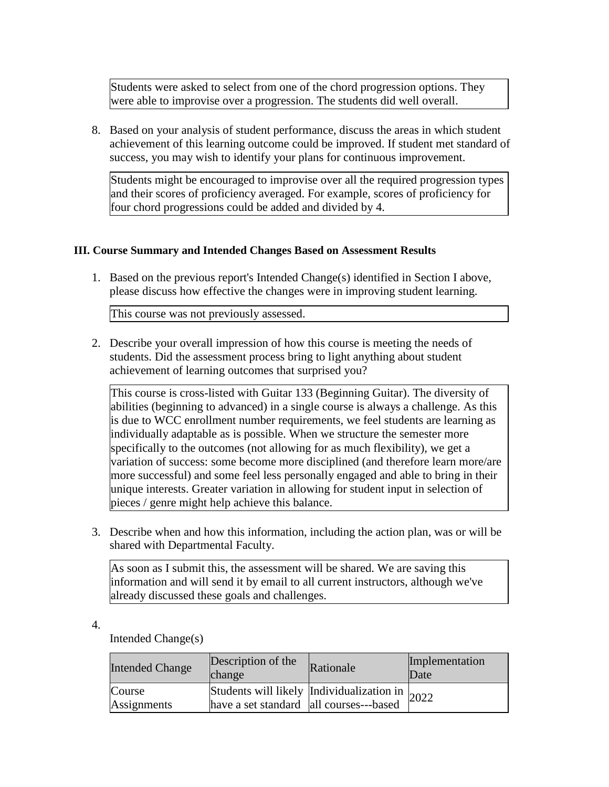Students were asked to select from one of the chord progression options. They were able to improvise over a progression. The students did well overall.

8. Based on your analysis of student performance, discuss the areas in which student achievement of this learning outcome could be improved. If student met standard of success, you may wish to identify your plans for continuous improvement.

Students might be encouraged to improvise over all the required progression types and their scores of proficiency averaged. For example, scores of proficiency for four chord progressions could be added and divided by 4.

## **III. Course Summary and Intended Changes Based on Assessment Results**

1. Based on the previous report's Intended Change(s) identified in Section I above, please discuss how effective the changes were in improving student learning.

This course was not previously assessed.

2. Describe your overall impression of how this course is meeting the needs of students. Did the assessment process bring to light anything about student achievement of learning outcomes that surprised you?

This course is cross-listed with Guitar 133 (Beginning Guitar). The diversity of abilities (beginning to advanced) in a single course is always a challenge. As this is due to WCC enrollment number requirements, we feel students are learning as individually adaptable as is possible. When we structure the semester more specifically to the outcomes (not allowing for as much flexibility), we get a variation of success: some become more disciplined (and therefore learn more/are more successful) and some feel less personally engaged and able to bring in their unique interests. Greater variation in allowing for student input in selection of pieces / genre might help achieve this balance.

3. Describe when and how this information, including the action plan, was or will be shared with Departmental Faculty.

As soon as I submit this, the assessment will be shared. We are saving this information and will send it by email to all current instructors, although we've already discussed these goals and challenges.

- Intended Change Description of the Rationale Implementation Date Date Course **Assignments** Students will likely Individualization in have a set standard  $\begin{array}{c} \text{max} \\ \text{all} \\ \text{curses--based} \end{array}$  2022
- 4.

Intended Change(s)